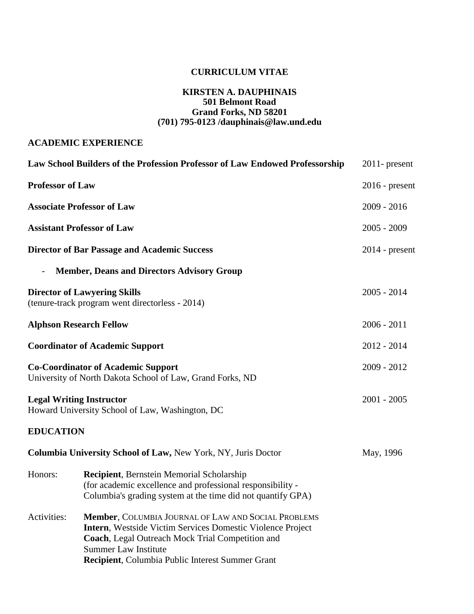# **CURRICULUM VITAE**

#### **KIRSTEN A. DAUPHINAIS 501 Belmont Road Grand Forks, ND 58201 (701) 795-0123 /dauphinais@law.und.edu**

## **ACADEMIC EXPERIENCE**

|                          | Law School Builders of the Profession Professor of Law Endowed Professorship                                                                                                                                                                                     | $2011$ - present |
|--------------------------|------------------------------------------------------------------------------------------------------------------------------------------------------------------------------------------------------------------------------------------------------------------|------------------|
| <b>Professor of Law</b>  |                                                                                                                                                                                                                                                                  | $2016$ - present |
|                          | <b>Associate Professor of Law</b>                                                                                                                                                                                                                                | $2009 - 2016$    |
|                          | <b>Assistant Professor of Law</b>                                                                                                                                                                                                                                | $2005 - 2009$    |
|                          | <b>Director of Bar Passage and Academic Success</b>                                                                                                                                                                                                              | $2014$ - present |
| $\overline{\phantom{a}}$ | <b>Member, Deans and Directors Advisory Group</b>                                                                                                                                                                                                                |                  |
|                          | <b>Director of Lawyering Skills</b><br>(tenure-track program went directorless - 2014)                                                                                                                                                                           | $2005 - 2014$    |
|                          | <b>Alphson Research Fellow</b>                                                                                                                                                                                                                                   | $2006 - 2011$    |
|                          | <b>Coordinator of Academic Support</b>                                                                                                                                                                                                                           | 2012 - 2014      |
|                          | <b>Co-Coordinator of Academic Support</b><br>University of North Dakota School of Law, Grand Forks, ND                                                                                                                                                           | 2009 - 2012      |
|                          | <b>Legal Writing Instructor</b><br>Howard University School of Law, Washington, DC                                                                                                                                                                               | $2001 - 2005$    |
| <b>EDUCATION</b>         |                                                                                                                                                                                                                                                                  |                  |
|                          | <b>Columbia University School of Law, New York, NY, Juris Doctor</b>                                                                                                                                                                                             | May, 1996        |
| Honors:                  | <b>Recipient</b> , Bernstein Memorial Scholarship<br>(for academic excellence and professional responsibility -<br>Columbia's grading system at the time did not quantify GPA)                                                                                   |                  |
| Activities:              | Member, COLUMBIA JOURNAL OF LAW AND SOCIAL PROBLEMS<br><b>Intern</b> , Westside Victim Services Domestic Violence Project<br>Coach, Legal Outreach Mock Trial Competition and<br><b>Summer Law Institute</b><br>Recipient, Columbia Public Interest Summer Grant |                  |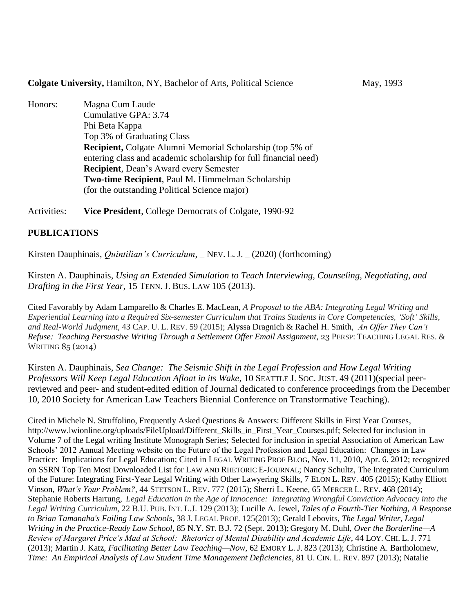#### **Colgate University, Hamilton, NY, Bachelor of Arts, Political Science May, 1993**

Honors: Magna Cum Laude Cumulative GPA: 3.74 Phi Beta Kappa Top 3% of Graduating Class **Recipient,** Colgate Alumni Memorial Scholarship (top 5% of entering class and academic scholarship for full financial need) **Recipient**, Dean's Award every Semester **Two-time Recipient**, Paul M. Himmelman Scholarship (for the outstanding Political Science major)

Activities: **Vice President**, College Democrats of Colgate, 1990-92

## **PUBLICATIONS**

Kirsten Dauphinais, *Quintilian's Curriculum*, \_ NEV. L. J. \_ (2020) (forthcoming)

Kirsten A. Dauphinais, *Using an Extended Simulation to Teach Interviewing, Counseling, Negotiating, and Drafting in the First Year*, 15 TENN. J. BUS. LAW 105 (2013).

Cited Favorably by Adam Lamparello & Charles E. MacLean, *A Proposal to the ABA: Integrating Legal Writing and Experiential Learning into a Required Six-semester Curriculum that Trains Students in Core Competencies, 'Soft' Skills, and Real-World Judgment*, 43 CAP. U. L. REV. 59 (2015); Alyssa Dragnich & Rachel H. Smith, *An Offer They Can't Refuse: Teaching Persuasive Writing Through a Settlement Offer Email Assignment*, 23 PERSP: TEACHING LEGAL RES. & WRITING 85 (2014)

Kirsten A. Dauphinais, *Sea Change: The Seismic Shift in the Legal Profession and How Legal Writing Professors Will Keep Legal Education Afloat in its Wake*, 10 SEATTLE J. SOC. JUST. 49 (2011)(special peerreviewed and peer- and student-edited edition of Journal dedicated to conference proceedings from the December 10, 2010 Society for American Law Teachers Biennial Conference on Transformative Teaching).

Cited in Michele N. Struffolino, Frequently Asked Questions & Answers: Different Skills in First Year Courses, http://www.lwionline.org/uploads/FileUpload/Different\_Skills\_in\_First\_Year\_Courses.pdf; Selected for inclusion in Volume 7 of the Legal writing Institute Monograph Series; Selected for inclusion in special Association of American Law Schools' 2012 Annual Meeting website on the Future of the Legal Profession and Legal Education: Changes in Law Practice: Implications for Legal Education; Cited in LEGAL WRITING PROF BLOG, Nov. 11, 2010, Apr. 6. 2012; recognized on SSRN Top Ten Most Downloaded List for LAW AND RHETORIC E-JOURNAL; Nancy Schultz, The Integrated Curriculum of the Future: Integrating First-Year Legal Writing with Other Lawyering Skills, 7 ELON L. REV. 405 (2015); Kathy Elliott Vinson, *What's Your Problem?*, 44 STETSON L. REV. 777 (2015); Sherri L. Keene, 65 MERCER L. REV. 468 (2014); Stephanie Roberts Hartung, *Legal Education in the Age of Innocence: Integrating Wrongful Conviction Advocacy into the Legal Writing Curriculum*, 22 B.U. PUB. INT. L.J. 129 (2013); Lucille A. Jewel, *Tales of a Fourth-Tier Nothing, A Response to Brian Tamanaha's Failing Law Schools*, 38 J. LEGAL PROF. 125(2013); Gerald Lebovits, *The Legal Writer, Legal Writing in the Practice-Ready Law School*, 85 N.Y. ST. B.J. 72 (Sept. 2013); Gregory M. Duhl, *Over the Borderline—A Review of Margaret Price's Mad at School: Rhetorics of Mental Disability and Academic Life*, 44 LOY. CHI. L. J. 771 (2013); Martin J. Katz, *Facilitating Better Law Teaching—Now*, 62 EMORY L. J. 823 (2013); Christine A. Bartholomew, *Time: An Empirical Analysis of Law Student Time Management Deficiencies*, 81 U. CIN. L. REV. 897 (2013); Natalie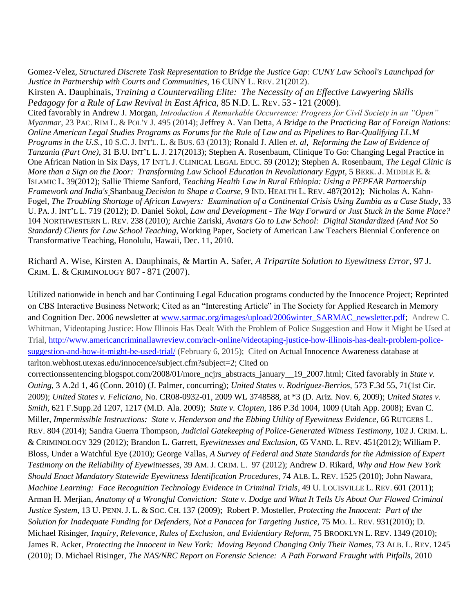Gomez-Velez, *Structured Discrete Task Representation to Bridge the Justice Gap: CUNY Law School's Launchpad for Justice in Partnership with Courts and Communities*, 16 CUNY L. REV. 21(2012). Kirsten A. Dauphinais, *Training a Countervailing Elite: The Necessity of an Effective Lawyering Skills Pedagogy for a Rule of Law Revival in East Africa*, 85 N.D. L. REV. 53 - 121 (2009). Cited favorably in Andrew J. Morgan, *Introduction A Remarkable Occurrence: Progress for Civil Society in an "Open" Myanmar*, 23 PAC. RIM L. & POL'Y J. 495 (2014); Jeffrey A. Van Detta, *A Bridge to the Practicing Bar of Foreign Nations: Online American Legal Studies Programs as Forums for the Rule of Law and as Pipelines to Bar-Qualifying LL.M* 

*Programs in the U.S.*, 10 S.C. J. INT'L. L. & BUS. 63 (2013); Ronald J. Allen *et. al*, *Reforming the Law of Evidence of Tanzania (Part One)*, 31 B.U. INT'L L. J. 217(2013); Stephen A. Rosenbaum, Clinique To Go: Changing Legal Practice in One African Nation in Six Days, 17 INT'L J. CLINICAL LEGAL EDUC. 59 (2012); Stephen A. Rosenbaum, *The Legal Clinic is More than a Sign on the Door: Transforming Law School Education in Revolutionary Egypt*, 5 BERK. J. MIDDLE E. & ISLAMIC L. 39(2012); Sallie Thieme Sanford, *Teaching Health Law in Rural Ethiopia: Using a PEPFAR Partnership Framework and India's* Shanbaug *Decision to Shape a Course*, 9 IND. HEALTH L. REV. 487(2012); Nicholas A. Kahn-Fogel, *The Troubling Shortage of African Lawyers: Examination of a Continental Crisis Using Zambia as a Case Study*, 33 U. PA. J. INT'L L. 719 (2012); D. Daniel Sokol, *Law and Development - The Way Forward or Just Stuck in the Same Place?*  104 NORTHWESTERN L. REV. 238 (2010); Archie Zariski, *Avatars Go to Law School: Digital Standardized (And Not So Standard) Clients for Law School Teaching*, Working Paper, Society of American Law Teachers Biennial Conference on Transformative Teaching, Honolulu, Hawaii, Dec. 11, 2010.

Richard A. Wise, Kirsten A. Dauphinais, & Martin A. Safer, *A Tripartite Solution to Eyewitness Error*, 97 J. CRIM. L. & CRIMINOLOGY 807 - 871 (2007).

Utilized nationwide in bench and bar Continuing Legal Education programs conducted by the Innocence Project; Reprinted on CBS Interactive Business Network; Cited as an "Interesting Article" in The Society for Applied Research in Memory and Cognition Dec. 2006 newsletter at [www.sarmac.org/images/upload/2006winter\\_SARMAC\\_newsletter.pdf;](http://www.sarmac.org/images/upload/2006winter_SARMAC_newsletter.pdf) Andrew C. Whitman, Videotaping Justice: How Illinois Has Dealt With the Problem of Police Suggestion and How it Might be Used at Trial, [http://www.americancriminallawreview.com/aclr-online/videotaping-justice-how-illinois-has-dealt-problem-police](http://www.americancriminallawreview.com/aclr-online/videotaping-justice-how-illinois-has-dealt-problem-police-suggestion-and-how-it-might-be-used-trial/)[suggestion-and-how-it-might-be-used-trial/](http://www.americancriminallawreview.com/aclr-online/videotaping-justice-how-illinois-has-dealt-problem-police-suggestion-and-how-it-might-be-used-trial/) (February 6, 2015); Cited on Actual Innocence Awareness database at tarlton.webhost.utexas.edu/innocence/subject.cfm?subject=2; Cited on

correctionssentencing.blogspot.com/2008/01/more\_ncjrs\_abstracts\_january\_\_19\_2007.html; Cited favorably in *State v. Outing*, 3 A.2d 1, 46 (Conn. 2010) (J. Palmer, concurring); *United States v. Rodriguez-Berrios*, 573 F.3d 55, 71(1st Cir. 2009); *United States v. Feliciano*, No. CR08-0932-01, 2009 WL 3748588, at \*3 (D. Ariz. Nov. 6, 2009); *United States v. Smith*, 621 F.Supp.2d 1207, 1217 (M.D. Ala. 2009); *State v. Clopten,* 186 P.3d 1004, 1009 (Utah App. 2008); Evan C. Miller, *Impermissible Instructions: State v. Henderson and the Ebbing Utility of Eyewitness Evidence,* 66 RUTGERS L. REV. 804 (2014); Sandra Guerra Thompson, *Judicial Gatekeeping of Police-Generated Witness Testimony*, 102 J. CRIM. L. & CRIMINOLOGY 329 (2012); Brandon L. Garrett, *Eyewitnesses and Exclusion*, 65 VAND. L. REV. 451(2012); William P. Bloss, Under a Watchful Eye (2010); George Vallas, *A Survey of Federal and State Standards for the Admission of Expert Testimony on the Reliability of Eyewitnesses*, 39 AM. J. CRIM. L. 97 (2012); Andrew D. Rikard, *Why and How New York Should Enact Mandatory Statewide Eyewitness Identification Procedures*, 74 ALB. L. REV. 1525 (2010); John Nawara, *Machine Learning: Face Recognition Technology Evidence in Criminal Trials*, 49 U. LOUISVILLE L. REV. 601 (2011); Arman H. Merjian, *Anatomy of a Wrongful Conviction: State v. Dodge and What It Tells Us About Our Flawed Criminal Justice System*, 13 U. PENN. J. L. & SOC. CH. 137 (2009); Robert P. Mosteller, *Protecting the Innocent: Part of the Solution for Inadequate Funding for Defenders, Not a Panacea for Targeting Justice*, 75 MO. L. REV. 931(2010); D. Michael Risinger, *Inquiry, Relevance, Rules of Exclusion, and Evidentiary Reform*, 75 BROOKLYN L. REV. 1349 (2010); James R. Acker, *Protecting the Innocent in New York: Moving Beyond Changing Only Their Names*, 73 ALB. L. REV. 1245 (2010); D. Michael Risinger, *The NAS/NRC Report on Forensic Science: A Path Forward Fraught with Pitfalls*, 2010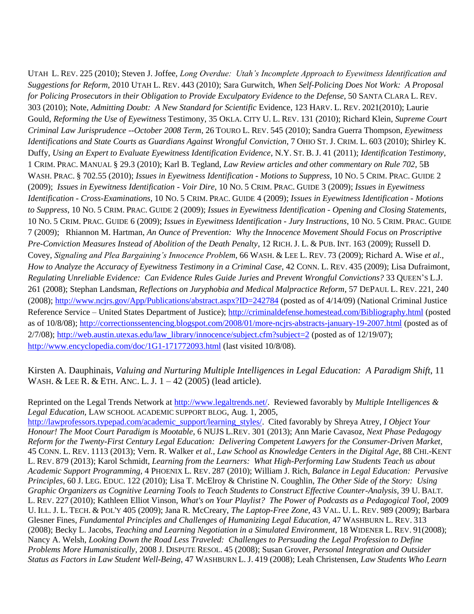UTAH L. REV. 225 (2010); Steven J. Joffee, *Long Overdue: Utah's Incomplete Approach to Eyewitness Identification and Suggestions for Reform*, 2010 UTAH L. REV. 443 (2010); Sara Gurwitch, *When Self-Policing Does Not Work: A Proposal for Policing Prosecutors in their Obligation to Provide Exculpatory Evidence to the Defense*, 50 SANTA CLARA L. REV. 303 (2010); Note, *Admitting Doubt: A New Standard for Scientific* Evidence, 123 HARV. L. REV. 2021(2010); Laurie Gould, *Reforming the Use of Eyewitness* Testimony, 35 OKLA. CITY U. L. REV. 131 (2010); Richard Klein, *Supreme Court Criminal Law Jurisprudence --October 2008 Term*, 26 TOURO L. REV. 545 (2010); Sandra Guerra Thompson, *Eyewitness Identifications and State Courts as Guardians Against Wrongful Conviction*, 7 OHIO ST. J. CRIM. L. 603 (2010); Shirley K. Duffy, *Using an Expert to Evaluate Eyewitness Identification Evidence*, N.Y. ST. B. J. 41 (2011); *Identification Testimony*, 1 CRIM. PRAC. MANUAL § 29.3 (2010); Karl B. Tegland, *Law Review articles and other commentary on Rule 702,* 5B WASH. PRAC. § 702.55 (2010); *Issues in Eyewitness Identification - Motions to Suppress*, 10 NO. 5 CRIM. PRAC. GUIDE 2 (2009); *Issues in Eyewitness Identification - Voir Dire*, 10 NO. 5 CRIM. PRAC. GUIDE 3 (2009); *Issues in Eyewitness Identification - Cross-Examinations*, 10 NO. 5 CRIM. PRAC. GUIDE 4 (2009); *Issues in Eyewitness Identification - Motions to Suppress*, 10 NO. 5 CRIM. PRAC. GUIDE 2 (2009); *Issues in Eyewitness Identification - Opening and Closing Statements*, 10 NO. 5 CRIM. PRAC. GUIDE 6 (2009); *Issues in Eyewitness Identification - Jury Instructions*, 10 NO. 5 CRIM. PRAC. GUIDE 7 (2009); Rhiannon M. Hartman, *An Ounce of Prevention: Why the Innocence Movement Should Focus on Proscriptive Pre-Conviction Measures Instead of Abolition of the Death Penalty*, 12 RICH. J. L. & PUB. INT. 163 (2009); Russell D. Covey, *Signaling and Plea Bargaining's Innocence Problem*, 66 WASH. & LEE L. REV. 73 (2009); Richard A. Wise *et al.*, *How to Analyze the Accuracy of Eyewitness Testimony in a Criminal Case*, 42 CONN. L. REV. 435 (2009); Lisa Dufraimont, *Regulating Unreliable Evidence: Can Evidence Rules Guide Juries and Prevent Wrongful Convictions?* 33 QUEEN'S L.J. 261 (2008); Stephan Landsman, *Reflections on Juryphobia and Medical Malpractice Reform*, 57 DEPAUL L. REV. 221, 240 (2008); <http://www.ncjrs.gov/App/Publications/abstract.aspx?ID=242784> (posted as of 4/14/09) (National Criminal Justice Reference Service – United States Department of Justice);<http://criminaldefense.homestead.com/Bibliography.html> (posted as of 10/8/08);<http://correctionssentencing.blogspot.com/2008/01/more-ncjrs-abstracts-january-19-2007.html> (posted as of 2/7/08); [http://web.austin.utexas.edu/law\\_library/innocence/subject.cfm?subject=2](http://web.austin.utexas.edu/law_library/innocence/subject.cfm?subject=2) (posted as of 12/19/07); <http://www.encyclopedia.com/doc/1G1-171772093.html> (last visited 10/8/08).

Kirsten A. Dauphinais, *Valuing and Nurturing Multiple Intelligences in Legal Education: A Paradigm Shift*, 11 WASH. & LEE R. & ETH. ANC. L. J. 1 – 42 (2005) (lead article).

Reprinted on the Legal Trends Network at [http://www.legaltrends.net/.](http://www.legaltrends.net/) Reviewed favorably by *Multiple Intelligences & Legal Education*, LAW SCHOOL ACADEMIC SUPPORT BLOG, Aug. 1, 2005,

[http://lawprofessors.typepad.com/academic\\_support/learning\\_styles/.](http://lawprofessors.typepad.com/academic_support/learning_styles/) Cited favorably by Shreya Atrey, *I Object Your Honour! The Moot Court Paradigm is Mootable*, 6 NUJS L.REV. 301 (2013); Ann Marie Cavasoz, *Next Phase Pedagogy Reform for the Twenty-First Century Legal Education: Delivering Competent Lawyers for the Consumer-Driven Market*, 45 CONN. L. REV. 1113 (2013); Vern. R. Walker *et al.*, *Law School as Knowledge Centers in the Digital Age*, 88 CHI.-KENT L. REV. 879 (2013); Karol Schmidt, *Learning from the Learners: What High-Performing Law Students Teach us about Academic Support Programming*, 4 PHOENIX L. REV. 287 (2010); William J. Rich, *Balance in Legal Education: Pervasive Principles*, 60 J. LEG. EDUC. 122 (2010); Lisa T. McElroy & Christine N. Coughlin, *The Other Side of the Story: Using Graphic Organizers as Cognitive Learning Tools to Teach Students to Construct Effective Counter-Analysis,* 39 U. BALT. L. REV. 227 (2010); Kathleen Elliot Vinson, *What's on Your Playlist? The Power of Podcasts as a Pedagogical Tool*, 2009 U. ILL. J. L. TECH. & POL'Y 405 (2009); Jana R. McCreary, *The Laptop-Free Zone*, 43 VAL. U. L. REV. 989 (2009); Barbara Glesner Fines, *Fundamental Principles and Challenges of Humanizing Legal Education,* 47 WASHBURN L. REV. 313 (2008); Becky L. Jacobs, *Teaching and Learning Negotiation in a Simulated Environment,* 18 WIDENER L. REV. 91(2008); Nancy A. Welsh, *Looking Down the Road Less Traveled: Challenges to Persuading the Legal Profession to Define Problems More Humanistically,* 2008 J. DISPUTE RESOL. 45 (2008); Susan Grover, *Personal Integration and Outsider Status as Factors in Law Student Well-Being*, 47 WASHBURN L. J. 419 (2008); Leah Christensen, *Law Students Who Learn*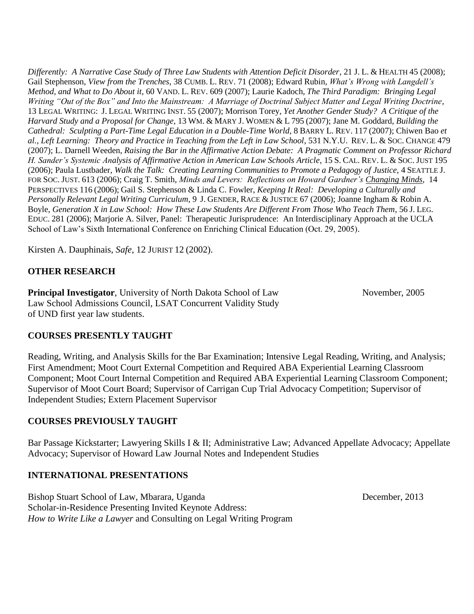*Differently: A Narrative Case Study of Three Law Students with Attention Deficit Disorder*, 21 J. L. & HEALTH 45 (2008); Gail Stephenson, *View from the Trenches*, 38 CUMB. L. REV. 71 (2008); Edward Rubin, *What's Wrong with Langdell's Method, and What to Do About it*, 60 VAND. L. REV. 609 (2007); Laurie Kadoch, *The Third Paradigm: Bringing Legal Writing "Out of the Box" and Into the Mainstream: A Marriage of Doctrinal Subject Matter and Legal Writing Doctrine*, 13 LEGAL WRITING: J. LEGAL WRITING INST. 55 (2007); Morrison Torey, *Yet Another Gender Study? A Critique of the Harvard Study and a Proposal for Change,* 13 WM. & MARY J. WOMEN & L 795 (2007); Jane M. Goddard, *Building the Cathedral: Sculpting a Part-Time Legal Education in a Double-Time World*, 8 BARRY L. REV. 117 (2007); Chiwen Bao *et al.*, *Left Learning: Theory and Practice in Teaching from the Left in Law School*, 531 N.Y.U. REV. L. & SOC. CHANGE 479 (2007); L. Darnell Weeden, *Raising the Bar in the Affirmative Action Debate: A Pragmatic Comment on Professor Richard H. Sander's Systemic Analysis of Affirmative Action in American Law Schools Article*, 15 S. CAL. REV. L. & SOC. JUST 195 (2006); Paula Lustbader, *Walk the Talk: Creating Learning Communities to Promote a Pedagogy of Justice*, 4 SEATTLE J. FOR SOC. JUST. 613 (2006); Craig T. Smith, *Minds and Levers: Reflections on Howard Gardner's Changing Minds*, 14 PERSPECTIVES 116 (2006); Gail S. Stephenson & Linda C. Fowler, *Keeping It Real: Developing a Culturally and Personally Relevant Legal Writing Curriculum*, 9 J. GENDER, RACE & JUSTICE 67 (2006); Joanne Ingham & Robin A. Boyle, *Generation X in Law School: How These Law Students Are Different From Those Who Teach Them*, 56 J. LEG. EDUC. 281 (2006); Marjorie A. Silver, Panel: Therapeutic Jurisprudence: An Interdisciplinary Approach at the UCLA School of Law's Sixth International Conference on Enriching Clinical Education (Oct. 29, 2005).

Kirsten A. Dauphinais, *Safe*, 12 JURIST 12 (2002).

# **OTHER RESEARCH**

**Principal Investigator**, University of North Dakota School of Law November, 2005 Law School Admissions Council, LSAT Concurrent Validity Study of UND first year law students.

## **COURSES PRESENTLY TAUGHT**

Reading, Writing, and Analysis Skills for the Bar Examination; Intensive Legal Reading, Writing, and Analysis; First Amendment; Moot Court External Competition and Required ABA Experiential Learning Classroom Component; Moot Court Internal Competition and Required ABA Experiential Learning Classroom Component; Supervisor of Moot Court Board; Supervisor of Carrigan Cup Trial Advocacy Competition; Supervisor of Independent Studies; Extern Placement Supervisor

#### **COURSES PREVIOUSLY TAUGHT**

Bar Passage Kickstarter; Lawyering Skills I & II; Administrative Law; Advanced Appellate Advocacy; Appellate Advocacy; Supervisor of Howard Law Journal Notes and Independent Studies

## **INTERNATIONAL PRESENTATIONS**

Bishop Stuart School of Law, Mbarara, Uganda December, 2013 Scholar-in-Residence Presenting Invited Keynote Address: *How to Write Like a Lawyer* and Consulting on Legal Writing Program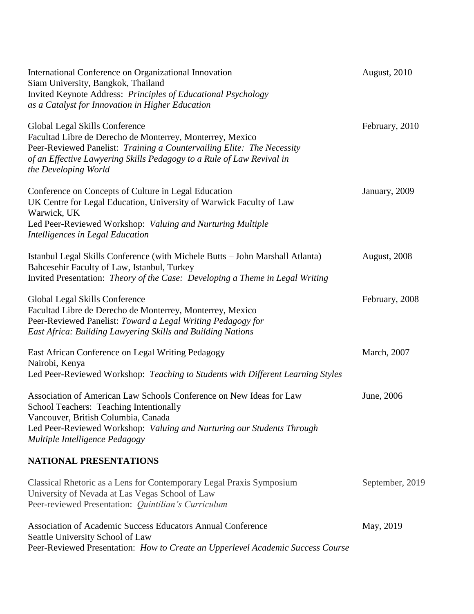| International Conference on Organizational Innovation<br>Siam University, Bangkok, Thailand<br>Invited Keynote Address: Principles of Educational Psychology<br>as a Catalyst for Innovation in Higher Education                                                       | August, 2010        |
|------------------------------------------------------------------------------------------------------------------------------------------------------------------------------------------------------------------------------------------------------------------------|---------------------|
| Global Legal Skills Conference<br>Facultad Libre de Derecho de Monterrey, Monterrey, Mexico<br>Peer-Reviewed Panelist: Training a Countervailing Elite: The Necessity<br>of an Effective Lawyering Skills Pedagogy to a Rule of Law Revival in<br>the Developing World | February, 2010      |
| Conference on Concepts of Culture in Legal Education<br>UK Centre for Legal Education, University of Warwick Faculty of Law<br>Warwick, UK<br>Led Peer-Reviewed Workshop: Valuing and Nurturing Multiple<br>Intelligences in Legal Education                           | January, 2009       |
| Istanbul Legal Skills Conference (with Michele Butts - John Marshall Atlanta)<br>Bahcesehir Faculty of Law, Istanbul, Turkey<br>Invited Presentation: Theory of the Case: Developing a Theme in Legal Writing                                                          | <b>August, 2008</b> |
| Global Legal Skills Conference<br>Facultad Libre de Derecho de Monterrey, Monterrey, Mexico<br>Peer-Reviewed Panelist: Toward a Legal Writing Pedagogy for<br>East Africa: Building Lawyering Skills and Building Nations                                              | February, 2008      |
| East African Conference on Legal Writing Pedagogy<br>Nairobi, Kenya<br>Led Peer-Reviewed Workshop: Teaching to Students with Different Learning Styles                                                                                                                 | March, 2007         |
| Association of American Law Schools Conference on New Ideas for Law<br>School Teachers: Teaching Intentionally<br>Vancouver, British Columbia, Canada<br>Led Peer-Reviewed Workshop: Valuing and Nurturing our Students Through<br>Multiple Intelligence Pedagogy      | June, 2006          |
| NATIONAL PRESENTATIONS                                                                                                                                                                                                                                                 |                     |
| Classical Rhetoric as a Lens for Contemporary Legal Praxis Symposium<br>University of Nevada at Las Vegas School of Law<br>Peer-reviewed Presentation: Quintilian's Curriculum                                                                                         | September, 2019     |
| Association of Academic Success Educators Annual Conference<br>Seattle University School of Law<br>Peer-Reviewed Presentation: How to Create an Upperlevel Academic Success Course                                                                                     | May, 2019           |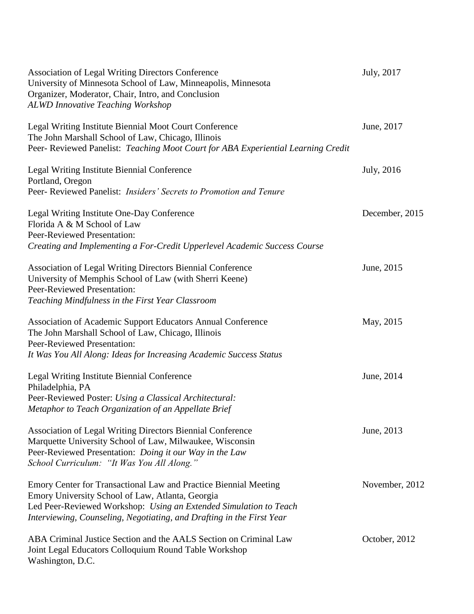| Association of Legal Writing Directors Conference<br>University of Minnesota School of Law, Minneapolis, Minnesota<br>Organizer, Moderator, Chair, Intro, and Conclusion<br><b>ALWD Innovative Teaching Workshop</b>                                               | July, 2017     |
|--------------------------------------------------------------------------------------------------------------------------------------------------------------------------------------------------------------------------------------------------------------------|----------------|
| Legal Writing Institute Biennial Moot Court Conference<br>The John Marshall School of Law, Chicago, Illinois<br>Peer-Reviewed Panelist: Teaching Moot Court for ABA Experiential Learning Credit                                                                   | June, 2017     |
| Legal Writing Institute Biennial Conference<br>Portland, Oregon<br>Peer- Reviewed Panelist: Insiders' Secrets to Promotion and Tenure                                                                                                                              | July, 2016     |
| Legal Writing Institute One-Day Conference<br>Florida A & M School of Law<br>Peer-Reviewed Presentation:<br>Creating and Implementing a For-Credit Upperlevel Academic Success Course                                                                              | December, 2015 |
| Association of Legal Writing Directors Biennial Conference<br>University of Memphis School of Law (with Sherri Keene)<br>Peer-Reviewed Presentation:<br>Teaching Mindfulness in the First Year Classroom                                                           | June, 2015     |
| Association of Academic Support Educators Annual Conference<br>The John Marshall School of Law, Chicago, Illinois<br><b>Peer-Reviewed Presentation:</b><br>It Was You All Along: Ideas for Increasing Academic Success Status                                      | May, 2015      |
| Legal Writing Institute Biennial Conference<br>Philadelphia, PA<br>Peer-Reviewed Poster: Using a Classical Architectural:<br>Metaphor to Teach Organization of an Appellate Brief                                                                                  | June, 2014     |
| <b>Association of Legal Writing Directors Biennial Conference</b><br>Marquette University School of Law, Milwaukee, Wisconsin<br>Peer-Reviewed Presentation: Doing it our Way in the Law<br>School Curriculum: "It Was You All Along."                             | June, 2013     |
| Emory Center for Transactional Law and Practice Biennial Meeting<br>Emory University School of Law, Atlanta, Georgia<br>Led Peer-Reviewed Workshop: Using an Extended Simulation to Teach<br>Interviewing, Counseling, Negotiating, and Drafting in the First Year | November, 2012 |
| ABA Criminal Justice Section and the AALS Section on Criminal Law<br>Joint Legal Educators Colloquium Round Table Workshop<br>Washington, D.C.                                                                                                                     | October, 2012  |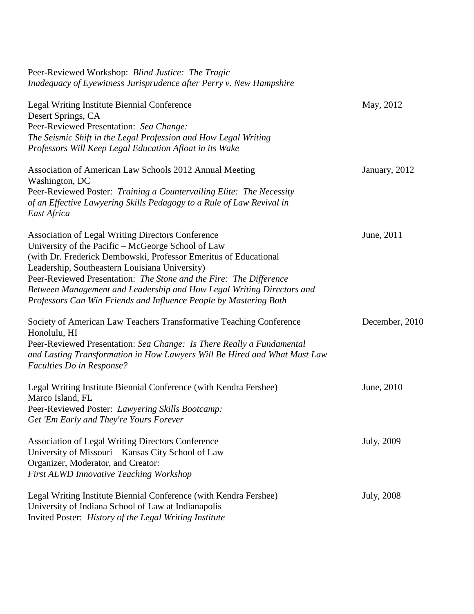| Peer-Reviewed Workshop: Blind Justice: The Tragic<br>Inadequacy of Eyewitness Jurisprudence after Perry v. New Hampshire                                                                                                                                                                                                                                                                                                                                 |                    |
|----------------------------------------------------------------------------------------------------------------------------------------------------------------------------------------------------------------------------------------------------------------------------------------------------------------------------------------------------------------------------------------------------------------------------------------------------------|--------------------|
| Legal Writing Institute Biennial Conference<br>Desert Springs, CA<br>Peer-Reviewed Presentation: Sea Change:<br>The Seismic Shift in the Legal Profession and How Legal Writing<br>Professors Will Keep Legal Education Afloat in its Wake                                                                                                                                                                                                               | May, 2012          |
| Association of American Law Schools 2012 Annual Meeting<br>Washington, DC<br>Peer-Reviewed Poster: Training a Countervailing Elite: The Necessity<br>of an Effective Lawyering Skills Pedagogy to a Rule of Law Revival in<br>East Africa                                                                                                                                                                                                                | January, 2012      |
| <b>Association of Legal Writing Directors Conference</b><br>University of the Pacific – McGeorge School of Law<br>(with Dr. Frederick Dembowski, Professor Emeritus of Educational<br>Leadership, Southeastern Louisiana University)<br>Peer-Reviewed Presentation: The Stone and the Fire: The Difference<br>Between Management and Leadership and How Legal Writing Directors and<br>Professors Can Win Friends and Influence People by Mastering Both | June, 2011         |
| Society of American Law Teachers Transformative Teaching Conference<br>Honolulu, HI<br>Peer-Reviewed Presentation: Sea Change: Is There Really a Fundamental<br>and Lasting Transformation in How Lawyers Will Be Hired and What Must Law<br>Faculties Do in Response?                                                                                                                                                                                   | December, 2010     |
| Legal Writing Institute Biennial Conference (with Kendra Fershee)<br>Marco Island, FL<br>Peer-Reviewed Poster: Lawyering Skills Bootcamp:<br>Get 'Em Early and They're Yours Forever                                                                                                                                                                                                                                                                     | June, 2010         |
| <b>Association of Legal Writing Directors Conference</b><br>University of Missouri – Kansas City School of Law<br>Organizer, Moderator, and Creator:<br><b>First ALWD Innovative Teaching Workshop</b>                                                                                                                                                                                                                                                   | July, 2009         |
| Legal Writing Institute Biennial Conference (with Kendra Fershee)<br>University of Indiana School of Law at Indianapolis<br>Invited Poster: History of the Legal Writing Institute                                                                                                                                                                                                                                                                       | <b>July</b> , 2008 |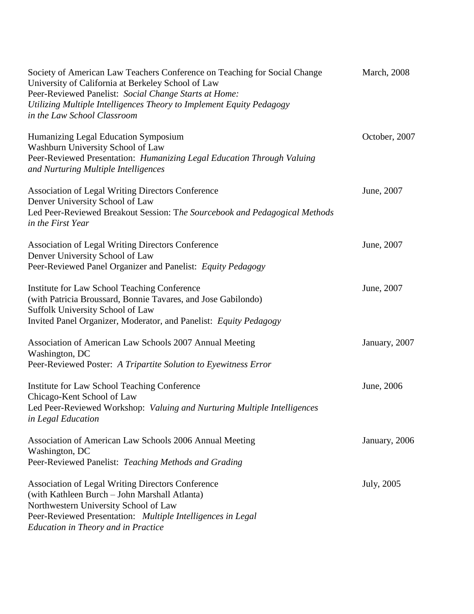| Society of American Law Teachers Conference on Teaching for Social Change<br>University of California at Berkeley School of Law<br>Peer-Reviewed Panelist: Social Change Starts at Home:<br>Utilizing Multiple Intelligences Theory to Implement Equity Pedagogy<br>in the Law School Classroom | <b>March</b> , 2008 |
|-------------------------------------------------------------------------------------------------------------------------------------------------------------------------------------------------------------------------------------------------------------------------------------------------|---------------------|
| Humanizing Legal Education Symposium<br>Washburn University School of Law<br>Peer-Reviewed Presentation: Humanizing Legal Education Through Valuing<br>and Nurturing Multiple Intelligences                                                                                                     | October, 2007       |
| Association of Legal Writing Directors Conference<br>Denver University School of Law<br>Led Peer-Reviewed Breakout Session: The Sourcebook and Pedagogical Methods<br>in the First Year                                                                                                         | June, 2007          |
| <b>Association of Legal Writing Directors Conference</b><br>Denver University School of Law<br>Peer-Reviewed Panel Organizer and Panelist: Equity Pedagogy                                                                                                                                      | June, 2007          |
| Institute for Law School Teaching Conference<br>(with Patricia Broussard, Bonnie Tavares, and Jose Gabilondo)<br>Suffolk University School of Law<br>Invited Panel Organizer, Moderator, and Panelist: Equity Pedagogy                                                                          | June, 2007          |
| Association of American Law Schools 2007 Annual Meeting<br>Washington, DC<br>Peer-Reviewed Poster: A Tripartite Solution to Eyewitness Error                                                                                                                                                    | January, 2007       |
| Institute for Law School Teaching Conference<br>Chicago-Kent School of Law<br>Led Peer-Reviewed Workshop: Valuing and Nurturing Multiple Intelligences<br>in Legal Education                                                                                                                    | June, 2006          |
| Association of American Law Schools 2006 Annual Meeting<br>Washington, DC<br>Peer-Reviewed Panelist: Teaching Methods and Grading                                                                                                                                                               | January, 2006       |
| <b>Association of Legal Writing Directors Conference</b><br>(with Kathleen Burch - John Marshall Atlanta)<br>Northwestern University School of Law<br>Peer-Reviewed Presentation: Multiple Intelligences in Legal<br><b>Education in Theory and in Practice</b>                                 | July, 2005          |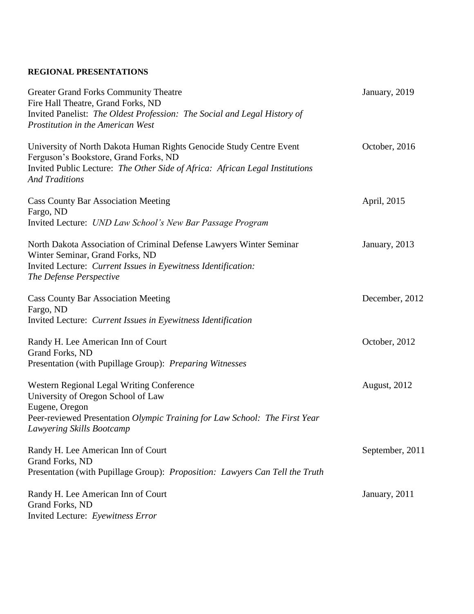## **REGIONAL PRESENTATIONS**

| <b>Greater Grand Forks Community Theatre</b><br>Fire Hall Theatre, Grand Forks, ND                                        | January, 2019   |
|---------------------------------------------------------------------------------------------------------------------------|-----------------|
| Invited Panelist: The Oldest Profession: The Social and Legal History of<br><b>Prostitution in the American West</b>      |                 |
| University of North Dakota Human Rights Genocide Study Centre Event<br>Ferguson's Bookstore, Grand Forks, ND              | October, 2016   |
| Invited Public Lecture: The Other Side of Africa: African Legal Institutions<br><b>And Traditions</b>                     |                 |
| <b>Cass County Bar Association Meeting</b><br>Fargo, ND                                                                   | April, 2015     |
| Invited Lecture: UND Law School's New Bar Passage Program                                                                 |                 |
| North Dakota Association of Criminal Defense Lawyers Winter Seminar<br>Winter Seminar, Grand Forks, ND                    | January, 2013   |
| Invited Lecture: Current Issues in Eyewitness Identification:<br>The Defense Perspective                                  |                 |
| <b>Cass County Bar Association Meeting</b><br>Fargo, ND                                                                   | December, 2012  |
| Invited Lecture: Current Issues in Eyewitness Identification                                                              |                 |
| Randy H. Lee American Inn of Court<br>Grand Forks, ND                                                                     | October, 2012   |
| Presentation (with Pupillage Group): Preparing Witnesses                                                                  |                 |
| Western Regional Legal Writing Conference<br>University of Oregon School of Law                                           | August, 2012    |
| Eugene, Oregon<br>Peer-reviewed Presentation Olympic Training for Law School: The First Year<br>Lawyering Skills Bootcamp |                 |
| Randy H. Lee American Inn of Court<br>Grand Forks, ND                                                                     | September, 2011 |
| Presentation (with Pupillage Group): Proposition: Lawyers Can Tell the Truth                                              |                 |
| Randy H. Lee American Inn of Court<br>Grand Forks, ND<br>Invited Lecture: Eyewitness Error                                | January, 2011   |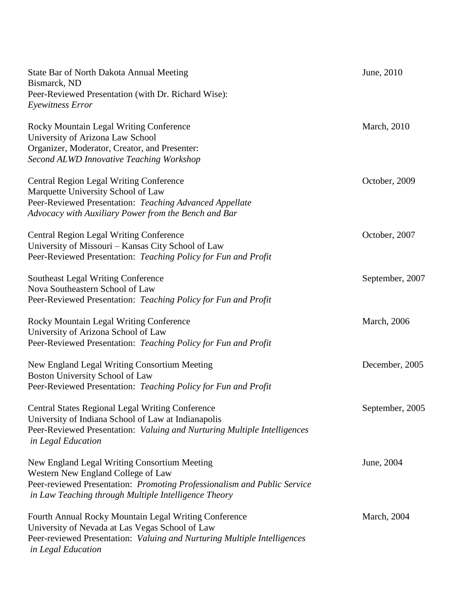| State Bar of North Dakota Annual Meeting<br>Bismarck, ND                                                                                                               | June, 2010          |
|------------------------------------------------------------------------------------------------------------------------------------------------------------------------|---------------------|
| Peer-Reviewed Presentation (with Dr. Richard Wise):<br>Eyewitness Error                                                                                                |                     |
| Rocky Mountain Legal Writing Conference<br>University of Arizona Law School<br>Organizer, Moderator, Creator, and Presenter:                                           | <b>March</b> , 2010 |
| <b>Second ALWD Innovative Teaching Workshop</b>                                                                                                                        |                     |
| <b>Central Region Legal Writing Conference</b><br>Marquette University School of Law<br>Peer-Reviewed Presentation: Teaching Advanced Appellate                        | October, 2009       |
| Advocacy with Auxiliary Power from the Bench and Bar                                                                                                                   |                     |
| <b>Central Region Legal Writing Conference</b><br>University of Missouri - Kansas City School of Law<br>Peer-Reviewed Presentation: Teaching Policy for Fun and Profit | October, 2007       |
|                                                                                                                                                                        |                     |
| <b>Southeast Legal Writing Conference</b><br>Nova Southeastern School of Law                                                                                           | September, 2007     |
| Peer-Reviewed Presentation: Teaching Policy for Fun and Profit                                                                                                         |                     |
| Rocky Mountain Legal Writing Conference<br>University of Arizona School of Law                                                                                         | <b>March</b> , 2006 |
| Peer-Reviewed Presentation: Teaching Policy for Fun and Profit                                                                                                         |                     |
| New England Legal Writing Consortium Meeting<br>Boston University School of Law                                                                                        | December, 2005      |
| Peer-Reviewed Presentation: Teaching Policy for Fun and Profit                                                                                                         |                     |
| <b>Central States Regional Legal Writing Conference</b><br>University of Indiana School of Law at Indianapolis                                                         | September, 2005     |
| Peer-Reviewed Presentation: Valuing and Nurturing Multiple Intelligences<br>in Legal Education                                                                         |                     |
| New England Legal Writing Consortium Meeting                                                                                                                           | June, 2004          |
| Western New England College of Law                                                                                                                                     |                     |
| Peer-reviewed Presentation: Promoting Professionalism and Public Service<br>in Law Teaching through Multiple Intelligence Theory                                       |                     |
| Fourth Annual Rocky Mountain Legal Writing Conference<br>University of Nevada at Las Vegas School of Law                                                               | <b>March</b> , 2004 |
| Peer-reviewed Presentation: Valuing and Nurturing Multiple Intelligences<br>in Legal Education                                                                         |                     |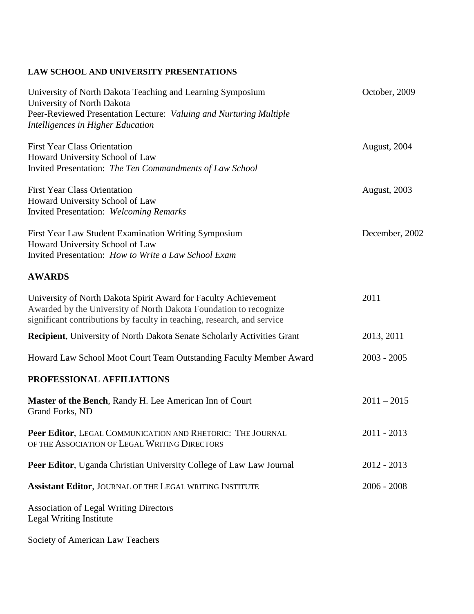# **LAW SCHOOL AND UNIVERSITY PRESENTATIONS**

| University of North Dakota Teaching and Learning Symposium<br>University of North Dakota                                                                                                                        | October, 2009       |
|-----------------------------------------------------------------------------------------------------------------------------------------------------------------------------------------------------------------|---------------------|
| Peer-Reviewed Presentation Lecture: Valuing and Nurturing Multiple<br>Intelligences in Higher Education                                                                                                         |                     |
| <b>First Year Class Orientation</b><br>Howard University School of Law                                                                                                                                          | August, 2004        |
| Invited Presentation: The Ten Commandments of Law School                                                                                                                                                        |                     |
| <b>First Year Class Orientation</b><br>Howard University School of Law<br><b>Invited Presentation: Welcoming Remarks</b>                                                                                        | <b>August, 2003</b> |
| First Year Law Student Examination Writing Symposium<br>Howard University School of Law<br>Invited Presentation: How to Write a Law School Exam                                                                 | December, 2002      |
| <b>AWARDS</b>                                                                                                                                                                                                   |                     |
| University of North Dakota Spirit Award for Faculty Achievement<br>Awarded by the University of North Dakota Foundation to recognize<br>significant contributions by faculty in teaching, research, and service | 2011                |
| <b>Recipient</b> , University of North Dakota Senate Scholarly Activities Grant                                                                                                                                 | 2013, 2011          |
| Howard Law School Moot Court Team Outstanding Faculty Member Award                                                                                                                                              | $2003 - 2005$       |
| PROFESSIONAL AFFILIATIONS                                                                                                                                                                                       |                     |
| Master of the Bench, Randy H. Lee American Inn of Court<br>Grand Forks, ND                                                                                                                                      | $2011 - 2015$       |
| Peer Editor, LEGAL COMMUNICATION AND RHETORIC: THE JOURNAL<br>OF THE ASSOCIATION OF LEGAL WRITING DIRECTORS                                                                                                     | $2011 - 2013$       |
| Peer Editor, Uganda Christian University College of Law Law Journal                                                                                                                                             | $2012 - 2013$       |
| Assistant Editor, JOURNAL OF THE LEGAL WRITING INSTITUTE                                                                                                                                                        | $2006 - 2008$       |
| <b>Association of Legal Writing Directors</b><br>Legal Writing Institute                                                                                                                                        |                     |

Society of American Law Teachers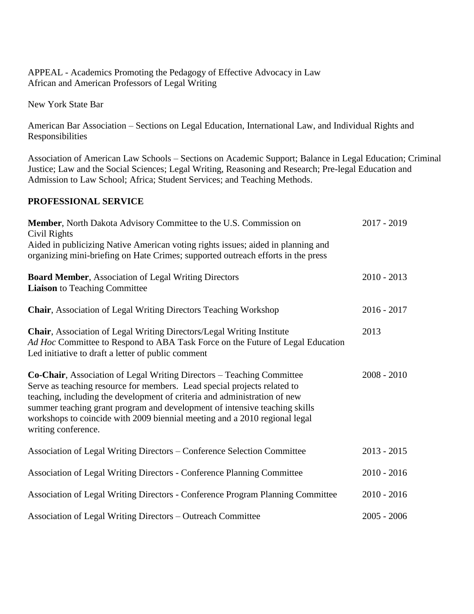APPEAL - Academics Promoting the Pedagogy of Effective Advocacy in Law African and American Professors of Legal Writing

New York State Bar

American Bar Association – Sections on Legal Education, International Law, and Individual Rights and Responsibilities

Association of American Law Schools – Sections on Academic Support; Balance in Legal Education; Criminal Justice; Law and the Social Sciences; Legal Writing, Reasoning and Research; Pre-legal Education and Admission to Law School; Africa; Student Services; and Teaching Methods.

## **PROFESSIONAL SERVICE**

| Member, North Dakota Advisory Committee to the U.S. Commission on<br>Civil Rights                                                                                                                                                                                                                                                                                                                                        | $2017 - 2019$ |
|--------------------------------------------------------------------------------------------------------------------------------------------------------------------------------------------------------------------------------------------------------------------------------------------------------------------------------------------------------------------------------------------------------------------------|---------------|
| Aided in publicizing Native American voting rights issues; aided in planning and<br>organizing mini-briefing on Hate Crimes; supported outreach efforts in the press                                                                                                                                                                                                                                                     |               |
| <b>Board Member, Association of Legal Writing Directors</b><br><b>Liaison</b> to Teaching Committee                                                                                                                                                                                                                                                                                                                      | $2010 - 2013$ |
| <b>Chair, Association of Legal Writing Directors Teaching Workshop</b>                                                                                                                                                                                                                                                                                                                                                   | $2016 - 2017$ |
| <b>Chair, Association of Legal Writing Directors/Legal Writing Institute</b><br>Ad Hoc Committee to Respond to ABA Task Force on the Future of Legal Education<br>Led initiative to draft a letter of public comment                                                                                                                                                                                                     | 2013          |
| <b>Co-Chair, Association of Legal Writing Directors – Teaching Committee</b><br>Serve as teaching resource for members. Lead special projects related to<br>teaching, including the development of criteria and administration of new<br>summer teaching grant program and development of intensive teaching skills<br>workshops to coincide with 2009 biennial meeting and a 2010 regional legal<br>writing conference. | $2008 - 2010$ |
| Association of Legal Writing Directors - Conference Selection Committee                                                                                                                                                                                                                                                                                                                                                  | $2013 - 2015$ |
| Association of Legal Writing Directors - Conference Planning Committee                                                                                                                                                                                                                                                                                                                                                   | $2010 - 2016$ |
| Association of Legal Writing Directors - Conference Program Planning Committee                                                                                                                                                                                                                                                                                                                                           | $2010 - 2016$ |
| Association of Legal Writing Directors – Outreach Committee                                                                                                                                                                                                                                                                                                                                                              | $2005 - 2006$ |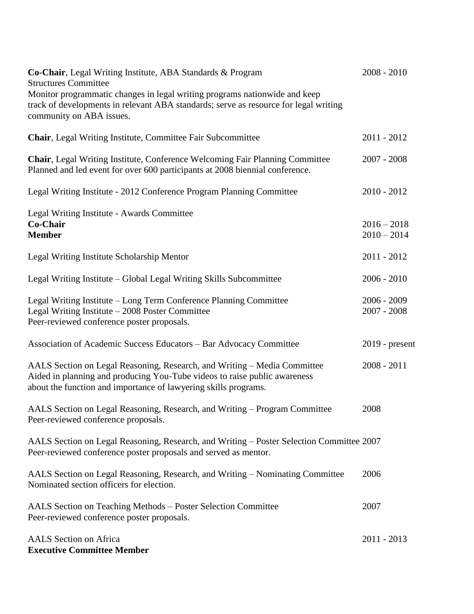| Co-Chair, Legal Writing Institute, ABA Standards & Program<br><b>Structures Committee</b>                                                                                                                                | $2008 - 2010$                  |
|--------------------------------------------------------------------------------------------------------------------------------------------------------------------------------------------------------------------------|--------------------------------|
| Monitor programmatic changes in legal writing programs nationwide and keep<br>track of developments in relevant ABA standards; serve as resource for legal writing<br>community on ABA issues.                           |                                |
| Chair, Legal Writing Institute, Committee Fair Subcommittee                                                                                                                                                              | 2011 - 2012                    |
| <b>Chair, Legal Writing Institute, Conference Welcoming Fair Planning Committee</b><br>Planned and led event for over 600 participants at 2008 biennial conference.                                                      | $2007 - 2008$                  |
| Legal Writing Institute - 2012 Conference Program Planning Committee                                                                                                                                                     | $2010 - 2012$                  |
| Legal Writing Institute - Awards Committee<br>Co-Chair<br><b>Member</b>                                                                                                                                                  | $2016 - 2018$<br>$2010 - 2014$ |
| Legal Writing Institute Scholarship Mentor                                                                                                                                                                               | 2011 - 2012                    |
| Legal Writing Institute – Global Legal Writing Skills Subcommittee                                                                                                                                                       | $2006 - 2010$                  |
| Legal Writing Institute - Long Term Conference Planning Committee<br>Legal Writing Institute - 2008 Poster Committee<br>Peer-reviewed conference poster proposals.                                                       | $2006 - 2009$<br>$2007 - 2008$ |
| Association of Academic Success Educators - Bar Advocacy Committee                                                                                                                                                       | $2019$ - present               |
| AALS Section on Legal Reasoning, Research, and Writing - Media Committee<br>Aided in planning and producing You-Tube videos to raise public awareness<br>about the function and importance of lawyering skills programs. | $2008 - 2011$                  |
| AALS Section on Legal Reasoning, Research, and Writing - Program Committee<br>Peer-reviewed conference proposals.                                                                                                        | 2008                           |
| AALS Section on Legal Reasoning, Research, and Writing – Poster Selection Committee 2007<br>Peer-reviewed conference poster proposals and served as mentor.                                                              |                                |
| AALS Section on Legal Reasoning, Research, and Writing – Nominating Committee<br>Nominated section officers for election.                                                                                                | 2006                           |
| AALS Section on Teaching Methods - Poster Selection Committee<br>Peer-reviewed conference poster proposals.                                                                                                              | 2007                           |
| <b>AALS</b> Section on Africa<br><b>Executive Committee Member</b>                                                                                                                                                       | 2011 - 2013                    |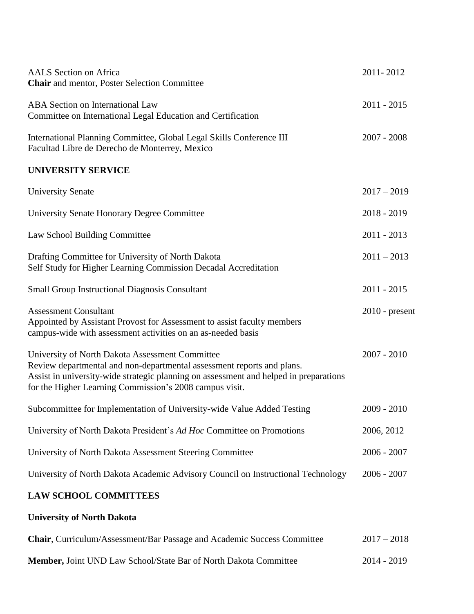| <b>AALS</b> Section on Africa<br><b>Chair</b> and mentor, Poster Selection Committee                                                                                                                                                                                          | 2011-2012        |
|-------------------------------------------------------------------------------------------------------------------------------------------------------------------------------------------------------------------------------------------------------------------------------|------------------|
| <b>ABA</b> Section on International Law<br>Committee on International Legal Education and Certification                                                                                                                                                                       | $2011 - 2015$    |
| International Planning Committee, Global Legal Skills Conference III<br>Facultad Libre de Derecho de Monterrey, Mexico                                                                                                                                                        | $2007 - 2008$    |
| <b>UNIVERSITY SERVICE</b>                                                                                                                                                                                                                                                     |                  |
| <b>University Senate</b>                                                                                                                                                                                                                                                      | $2017 - 2019$    |
| University Senate Honorary Degree Committee                                                                                                                                                                                                                                   | $2018 - 2019$    |
| Law School Building Committee                                                                                                                                                                                                                                                 | $2011 - 2013$    |
| Drafting Committee for University of North Dakota<br>Self Study for Higher Learning Commission Decadal Accreditation                                                                                                                                                          | $2011 - 2013$    |
| <b>Small Group Instructional Diagnosis Consultant</b>                                                                                                                                                                                                                         | $2011 - 2015$    |
| <b>Assessment Consultant</b><br>Appointed by Assistant Provost for Assessment to assist faculty members<br>campus-wide with assessment activities on an as-needed basis                                                                                                       | $2010$ - present |
| University of North Dakota Assessment Committee<br>Review departmental and non-departmental assessment reports and plans.<br>Assist in university-wide strategic planning on assessment and helped in preparations<br>for the Higher Learning Commission's 2008 campus visit. | $2007 - 2010$    |
| Subcommittee for Implementation of University-wide Value Added Testing                                                                                                                                                                                                        | $2009 - 2010$    |
| University of North Dakota President's Ad Hoc Committee on Promotions                                                                                                                                                                                                         | 2006, 2012       |
| University of North Dakota Assessment Steering Committee                                                                                                                                                                                                                      | $2006 - 2007$    |
| University of North Dakota Academic Advisory Council on Instructional Technology                                                                                                                                                                                              | $2006 - 2007$    |
| <b>LAW SCHOOL COMMITTEES</b>                                                                                                                                                                                                                                                  |                  |

# **University of North Dakota**

| Chair, Curriculum/Assessment/Bar Passage and Academic Success Committee | $2017 - 2018$ |
|-------------------------------------------------------------------------|---------------|
| <b>Member, Joint UND Law School/State Bar of North Dakota Committee</b> | 2014 - 2019   |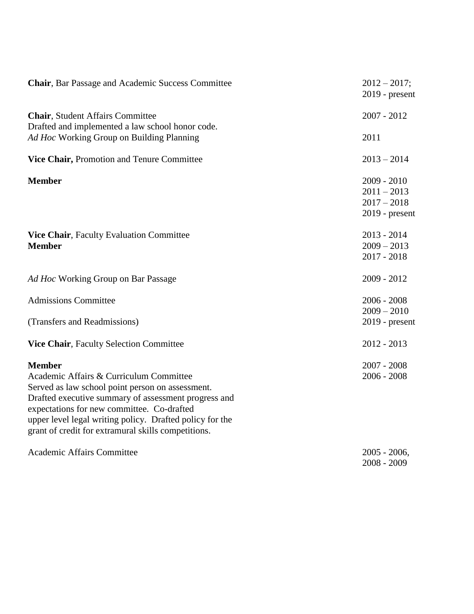| <b>Chair, Bar Passage and Academic Success Committee</b>                                                                                                                                                                                                                                                                              | $2012 - 2017$ ;<br>$2019$ - present                               |
|---------------------------------------------------------------------------------------------------------------------------------------------------------------------------------------------------------------------------------------------------------------------------------------------------------------------------------------|-------------------------------------------------------------------|
| <b>Chair, Student Affairs Committee</b><br>Drafted and implemented a law school honor code.                                                                                                                                                                                                                                           | $2007 - 2012$                                                     |
| Ad Hoc Working Group on Building Planning                                                                                                                                                                                                                                                                                             | 2011                                                              |
| Vice Chair, Promotion and Tenure Committee                                                                                                                                                                                                                                                                                            | $2013 - 2014$                                                     |
| <b>Member</b>                                                                                                                                                                                                                                                                                                                         | $2009 - 2010$<br>$2011 - 2013$<br>$2017 - 2018$<br>2019 - present |
| Vice Chair, Faculty Evaluation Committee<br><b>Member</b>                                                                                                                                                                                                                                                                             | $2013 - 2014$<br>$2009 - 2013$<br>$2017 - 2018$                   |
| Ad Hoc Working Group on Bar Passage                                                                                                                                                                                                                                                                                                   | $2009 - 2012$                                                     |
| <b>Admissions Committee</b>                                                                                                                                                                                                                                                                                                           | $2006 - 2008$<br>$2009 - 2010$                                    |
| (Transfers and Readmissions)                                                                                                                                                                                                                                                                                                          | $2019$ - present                                                  |
| Vice Chair, Faculty Selection Committee                                                                                                                                                                                                                                                                                               | $2012 - 2013$                                                     |
| <b>Member</b><br>Academic Affairs & Curriculum Committee<br>Served as law school point person on assessment.<br>Drafted executive summary of assessment progress and<br>expectations for new committee. Co-drafted<br>upper level legal writing policy. Drafted policy for the<br>grant of credit for extramural skills competitions. | $2007 - 2008$<br>$2006 - 2008$                                    |
| <b>Academic Affairs Committee</b>                                                                                                                                                                                                                                                                                                     | $2005 - 2006$ ,<br>$2008 - 2009$                                  |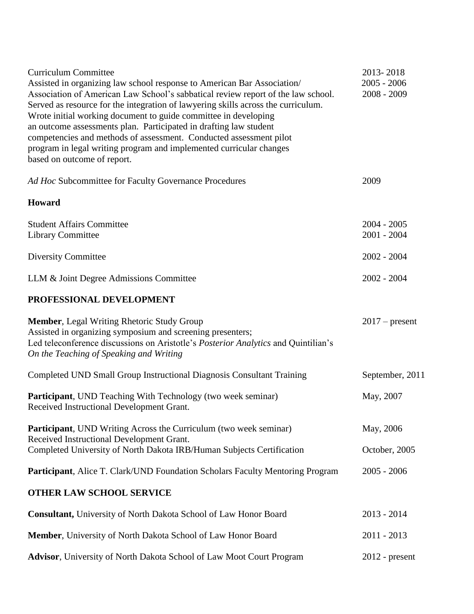| <b>Curriculum Committee</b>                                                                                                                                                                                                                                                                                                                                                                                                                                                                                                                                          | 2013-2018                      |
|----------------------------------------------------------------------------------------------------------------------------------------------------------------------------------------------------------------------------------------------------------------------------------------------------------------------------------------------------------------------------------------------------------------------------------------------------------------------------------------------------------------------------------------------------------------------|--------------------------------|
| Assisted in organizing law school response to American Bar Association/<br>Association of American Law School's sabbatical review report of the law school.<br>Served as resource for the integration of lawyering skills across the curriculum.<br>Wrote initial working document to guide committee in developing<br>an outcome assessments plan. Participated in drafting law student<br>competencies and methods of assessment. Conducted assessment pilot<br>program in legal writing program and implemented curricular changes<br>based on outcome of report. | $2005 - 2006$<br>$2008 - 2009$ |
| Ad Hoc Subcommittee for Faculty Governance Procedures                                                                                                                                                                                                                                                                                                                                                                                                                                                                                                                | 2009                           |
| Howard                                                                                                                                                                                                                                                                                                                                                                                                                                                                                                                                                               |                                |
| <b>Student Affairs Committee</b><br><b>Library Committee</b>                                                                                                                                                                                                                                                                                                                                                                                                                                                                                                         | $2004 - 2005$<br>$2001 - 2004$ |
| <b>Diversity Committee</b>                                                                                                                                                                                                                                                                                                                                                                                                                                                                                                                                           | $2002 - 2004$                  |
| LLM & Joint Degree Admissions Committee                                                                                                                                                                                                                                                                                                                                                                                                                                                                                                                              | $2002 - 2004$                  |
| PROFESSIONAL DEVELOPMENT                                                                                                                                                                                                                                                                                                                                                                                                                                                                                                                                             |                                |
| <b>Member, Legal Writing Rhetoric Study Group</b><br>Assisted in organizing symposium and screening presenters;<br>Led teleconference discussions on Aristotle's Posterior Analytics and Quintilian's<br>On the Teaching of Speaking and Writing                                                                                                                                                                                                                                                                                                                     | $2017$ – present               |
| Completed UND Small Group Instructional Diagnosis Consultant Training                                                                                                                                                                                                                                                                                                                                                                                                                                                                                                | September, 2011                |
| Participant, UND Teaching With Technology (two week seminar)<br>Received Instructional Development Grant.                                                                                                                                                                                                                                                                                                                                                                                                                                                            | May, 2007                      |
| <b>Participant</b> , UND Writing Across the Curriculum (two week seminar)<br>Received Instructional Development Grant.<br>Completed University of North Dakota IRB/Human Subjects Certification                                                                                                                                                                                                                                                                                                                                                                      | May, 2006<br>October, 2005     |
| Participant, Alice T. Clark/UND Foundation Scholars Faculty Mentoring Program                                                                                                                                                                                                                                                                                                                                                                                                                                                                                        | $2005 - 2006$                  |
| <b>OTHER LAW SCHOOL SERVICE</b>                                                                                                                                                                                                                                                                                                                                                                                                                                                                                                                                      |                                |
| <b>Consultant, University of North Dakota School of Law Honor Board</b>                                                                                                                                                                                                                                                                                                                                                                                                                                                                                              | $2013 - 2014$                  |
| Member, University of North Dakota School of Law Honor Board                                                                                                                                                                                                                                                                                                                                                                                                                                                                                                         | $2011 - 2013$                  |
| <b>Advisor</b> , University of North Dakota School of Law Moot Court Program                                                                                                                                                                                                                                                                                                                                                                                                                                                                                         | $2012$ - present               |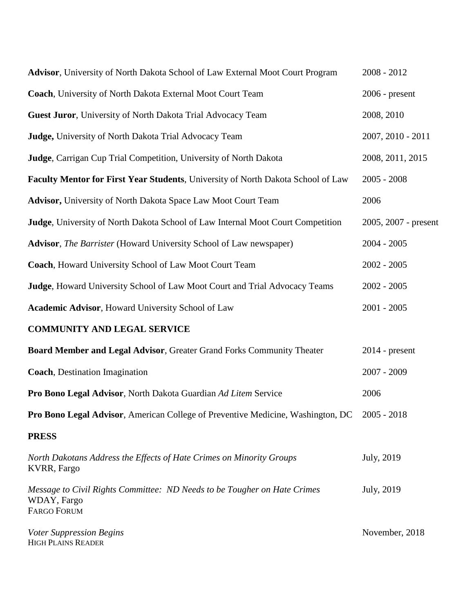| Advisor, University of North Dakota School of Law External Moot Court Program                                 | $2008 - 2012$        |
|---------------------------------------------------------------------------------------------------------------|----------------------|
| Coach, University of North Dakota External Moot Court Team                                                    | $2006$ - present     |
| Guest Juror, University of North Dakota Trial Advocacy Team                                                   | 2008, 2010           |
| Judge, University of North Dakota Trial Advocacy Team                                                         | 2007, 2010 - 2011    |
| Judge, Carrigan Cup Trial Competition, University of North Dakota                                             | 2008, 2011, 2015     |
| Faculty Mentor for First Year Students, University of North Dakota School of Law                              | $2005 - 2008$        |
| <b>Advisor, University of North Dakota Space Law Moot Court Team</b>                                          | 2006                 |
| Judge, University of North Dakota School of Law Internal Moot Court Competition                               | 2005, 2007 - present |
| <b>Advisor</b> , <i>The Barrister</i> (Howard University School of Law newspaper)                             | $2004 - 2005$        |
| Coach, Howard University School of Law Moot Court Team                                                        | $2002 - 2005$        |
| Judge, Howard University School of Law Moot Court and Trial Advocacy Teams                                    | $2002 - 2005$        |
| <b>Academic Advisor, Howard University School of Law</b>                                                      | $2001 - 2005$        |
| <b>COMMUNITY AND LEGAL SERVICE</b>                                                                            |                      |
| Board Member and Legal Advisor, Greater Grand Forks Community Theater                                         | $2014$ - present     |
| <b>Coach</b> , Destination Imagination                                                                        | 2007 - 2009          |
| Pro Bono Legal Advisor, North Dakota Guardian Ad Litem Service                                                | 2006                 |
| Pro Bono Legal Advisor, American College of Preventive Medicine, Washington, DC 2005 - 2018                   |                      |
| <b>PRESS</b>                                                                                                  |                      |
| North Dakotans Address the Effects of Hate Crimes on Minority Groups<br>KVRR, Fargo                           | July, 2019           |
| Message to Civil Rights Committee: ND Needs to be Tougher on Hate Crimes<br>WDAY, Fargo<br><b>FARGO FORUM</b> | July, 2019           |
| <b>Voter Suppression Begins</b><br><b>HIGH PLAINS READER</b>                                                  | November, 2018       |